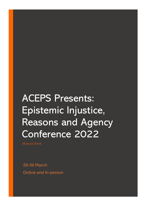# ACEPS Presents: Epistemic Injustice, Reasons and Agency Conference 2022

Abstract Book

29-30 March Online and In-person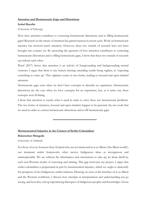## **Attention and Hermeneutic Gaps and Distortions**

# **Isabel Kaeslin**

(University of Fribourg)

How does attention contribute to correcting hermeneutic distortions and to filling hermeneutic gaps? Research on the nature of attention has gained traction in recent years. Work on hermeneutic injustice has received much attention. However, these two strands of research have not been brought into contact yet. By answering the question of how attention contributes to correcting hermeneutic distortions and to filling hermeneutic gaps, I show that these two strands of research can inform each other.

Watzl (2017) shows that attention is an activity of foregrounding and backgrounding mental contents. I argue that there is one feature missing: attending entails being vigilant, as 'expecting something to come up'. This vigilance comes in two forms, leading to focused and open-minded attention.

Hermeneutic gaps exist when we don't have concepts to describe an experience. Hermeneutic distortions are the case when we have concepts for an experience, but, as it turns out, these concepts were ill-fitting.

I show that attention is exactly what is need in order to solve these two hermeneutic problems. The two forms of attention, focused and open-minded, happen to be precisely the two tools that we need in order to correct hermeneutic distortions and to fill hermeneutic gaps.

# **Hermeneutical Injustice in the Context of Settler Colonialism**

#### **Balamohan Shingade**

(University of Aukland)

For those of us in Aotearoa New Zealand who are not immersed in te ao Māori ('the Māori world'), our dominant settler frameworks often receive Indigenous ideas as incongruous and uninterpretable. We are without the inheritances and orientations to take up, let alone dwell in, such non-Western modes of reasoning and relating. This gap motivates my project. I argue that settler-colonialism is perpetuated in part by hermeneutical injustice, which we ought to demystify for prospects of just Indigenous–settler relations. Drawing on cases at the interface of te ao Māori and the Western worldview, I discuss how attempts at interpretation and understanding can go wrong, and how they end up reproducing disrespect of Indigenous peoples and knowledges. Given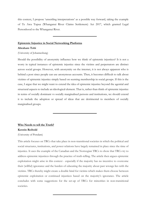this context, I propose 'unsettling interpretations' as a possible way forward, taking the example of Te Awa Tupua (Whanganui River Claims Settlement) Act 2017, which granted Legal Personhood to the Whanganui River.

### **Epistemic Injustice in Social Networking Platforms**

### **Abraham Tobi**

(University of Johannesburg)

Should the possibility of anonymity influence how we think of epistemic injustices? It is not a worry in typical instances of epistemic injustice since the victims and perpetrators are distinct across social groups. However, with anonymity on the internet, it is not always apparent who is behind a post since people can use anonymous accounts. Then, it becomes difficult to talk about victims of epistemic injustice simply based on seeming membership in social groups. If this is the case, I argue that we might want to extend the idea of epistemic injustice beyond the agential and structural aspects to include an ideological element. That is, rather than think of epistemic injustice in terms of socially dominant vs socially marginalised persons and institutions, we should extend it to include the adoption or spread of ideas that are detrimental to members of socially marginalised groups.

#### **Who Needs to tell the Truth?**

#### **Kerstin Reibold**

(University of Potsdam)

This article focuses on TRCs that take place in non-transitional societies in which the political and social structures, institutions, and power relations have largely remained in place since the time of injustice. It uses the example of the Canadian and the Norwegian TRCs to show that TRCs try to address epistemic injustices through the practice of truth-telling. The article then argues epistemic exploitation might arise in this context - especially if the majority has no incentive to overcome their (willful) ignorance and the burden of educating the majority about past wrongs lies with the victims. TRCs thereby might create a double bind for victims which makes them choose between epistemic exploitation or continued injustices based on the majority's ignorance. The article concludes with some suggestions for the set-up of TRCs for minorities in non-transitional societies.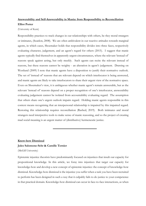# **Answerability and Self-Answerability in Mania: from Responsibility to Reconciliation Elliot Porter**

(University of Kent)

Responsibility practices to track changes in our relationships with others, be they moral strangers or intimates, (Scanlon, 2008). We are often ambivalent in our reactive attitudes towards marginal agents, in which cases, Shoemaker holds that responsibility divides into three faces, respectively evaluating character, judgement, and an agent's regard for others (2015). I suggest that manic agents typically find themselves in apparently urgent circumstances, where the relevant 'instead of' reasons speak against acting, but only meekly. Such agents can recite the relevant instead of reasons, but these reasons cannot be weighty - an alteration in agent's judgement. Drawing on Westlund (2009) I note that manic agents have a disposition to justify their normative outlook. The set of 'instead of' reasons that are relevant depend on which interlocutor is being answered, and manic agents are likely to take interlocutors to share their urgent view of the normative space. Even on Shoemaker's view, it is ambiguous whether manic agent's remain answerable, but as the relevant 'instead of' reasons depend on a proper recognition of one's interlocutor, answerability evaluating judgement cannot be isolated from accountability evaluating regard. The assumption that others share one's urgent outlook impairs regard. Holding manic agents responsible in this context means recognising that an interpersonal relationship is impaired by this impaired regard. Restoring this relationship requires reconciliation (Rashed, 2019). Both intimates and moral strangers need interpretive tools to make sense of manic reasoning, and so the project of creating mad social meaning is an urgent matter of (distributive) hermeneutic justice.

## **Know-how Dismissal**

## **Jules Salomone-Sehr & Camille Ternier**

(McGill University)

Epistemic injustice theorists have predominantly focused on injustices that insult our capacity for propositional knowledge. In this article, we foray into injustices that target our capacity for knowledge-how and develop a new concept of epistemic injustice: the concept of knowledge-how dismissal. Knowledge-how dismissal is the injustice you suffer when a task you have been recruited to perform has been designed in such a way that it culpably fails to do justice to your competence in that practical domain. Knowledge-how dismissal can occur in face-to-face interactions, as when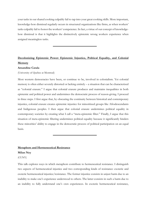your tasks in our shared cooking culpably fail to tap into your great cooking skills. More important, knowledge-how dismissal regularly occurs in structured organizations like firms, as when workers' tasks culpably fail to honor the workers' competence. In fact, a virtue of our concept of knowledgehow dismissal is that it highlights the distinctively epistemic wrong workers experience when assigned meaningless tasks.

# **Decolonizing Epistemic Power: Epistemic Injustice, Political Equality, and Colonial Memory**

## **Amandine Catala**

(University of Quebec at Montreal)

Most western democracies have been, or continue to be, involved in colonialism. Yet colonial memory is often either severely distorted or lacking entirely – a situation that can be characterized as "colonial erasure." I argue that colonial erasure produces and maintains inequalities in both epistemic and political power and undermines the democratic process of reason-giving. I proceed in three steps. I first argue that, by obscuring the continuity between historical and contemporary injustice, colonial erasure creates epistemic injustice for minoritized groups like Afrodescendants and Indigenous peoples. I then argue that colonial erasure undermines political equality in contemporary societies by creating what I call a "meta-epistemic filter." Finally, I argue that this situation of meta-epistemic filtering undermines political equality because it significantly hinders these minorities' ability to engage in the democratic process of political participation on an equal basis.

# **Metaphors and Hermeneutical Resistance**

# **Milan Ney**

(CUNY)

This talk explores ways in which metaphors contribute to hermeneutical resistance. I distinguish two aspects of hermeneutical injustice and two corresponding kinds of resistance: exoteric and esoteric hermeneutical injustice/resistance. The former injustice consists in unjust harm due to an inability to make one's experience understood to others. The latter consists in such a harm due to an inability to fully understand one's own experiences. In exoteric hermeneutical resistance,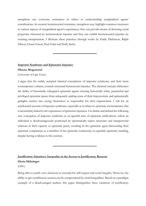metaphors can overcome resistances in others to understanding marginalised agents' contributions. In esoteric hermeneutical resistance, metaphors may highlight common structures in various aspects of marginalised agent's experiences, they can provide means of denoting social properties obscured by hermeneutical injustice and they can exhibit hermeneutical injustice by resisting interpretation. I illustrate these practices through works by Emily Dickinson, Ralph Ellison, Frantz Fanon, Paul Celan and Nelly Sachs.

# **Imposter Syndrome and Epistemic Injustice**

## **Olerato Mogomotsi**

(University of Cape Town)

I argue that the widely accepted classical conceptions of imposter syndrome, and their more contemporary variants, commit structural hermeneutic injustice. The classical concept obfuscates the ability of historically subjugated epistemic agents entering historically white, patriarchal and privileged epistemic spaces from adequately making sense of their impostorism, and epistemically gaslights victims into seeing themselves as responsible for their impostorism. I call for an ameliorated account of imposter syndrome, especially as it relates to epistemic environments, that is inextricably linked to the experiences of epistemic injustices. I re-define and defend the following new conception of imposter syndrome as an agential state of epistemic ambivalence, where an individual is disadvantageously positioned by epistemically unjust structures and interpersonal relations in their capacity as epistemic peers, resulting in the epistemic agent discounting their epistemic competence as a member of the epistemic community in equitable epistemic standing, despite having evidence to the contrary.

**Justificatory Injustices: Inequality in the Access to Justificatory Reasons Gloria Mähringer**

(LMU)

Being able to justify one's decisions is essential for self-respect and social integrity. However, the ability to give justificatory reasons can be compromised by social inequalities. Based on a paradigm example of a disadvantaged student, this paper distinguishes three variations of justificatory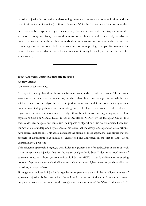injustice: injustice in normative understanding, injustice in normative communication, and the most intricate form of genuine justificatory injustice. While the first two variations do occur, their description fails to capture many cases adequately. Sometimes, social disadvantage can make that a person who (prima facie) has good reasons for a choice – and is also fully capable of understanding and articulating them – finds these reasons silenced or unavailable because of competing reasons that do not hold in the same way for more privileged people. By examining the nature of reasons and what it means for a justification to really be viable, we can see the need for a new concept.

## **How Algorithms Further Epistemic Injustice**

#### **Andrew Akpan**

(University of Johannesburg)

Attempts to remedy algorithmic bias come from technical, and/ or legal frameworks. The technical argument is that since one prominent way in which algorithmic bias is shaped is through the data set that is used to train algorithms, it is important to widen the data set to sufficiently include underrepresented populations and minority groups. The legal framework provides rules and regulations that aim to limit or circumvent algorithmic bias. Countries are beginning to put in place regulations (like The General Data Protection Regulation (GDPR) by the European Union) that seek to identify, mitigate, and remediate the impacts of algorithmic bias on customers. These two frameworks are underpinned by a sense of morality; that the design and operation of algorithms have ethical implications. This article considers the pitfalls of these approaches and argues that the problem of algorithmic bias should be understood and addressed, in the first instance, as an epistemological problem.

This epistemic approach, I argue, is what holds the greatest hope for addressing, at the root level, issues of epistemic injustice that are the cause of algorithmic bias. I identify a novel form of epistemic injustice – 'homogeneous epistemic injustice' (HEI) – that is different from existing notions of epistemic injustice in the literature, such as testimonial, hermeneutical, and contributory injustices, amongst others.

Homogeneous epistemic injustice is arguably more pernicious than all the paradigmatic types of epistemic injustice. It happens when the epistemic resources of the non-dominantly situated people are taken up but understood through the dominant lens of the West. In this way, HEI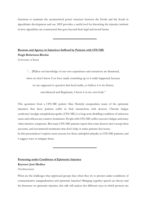functions to maintain the asymmetrical power structure between the North and the South in algorithmic development and use. HEI provides a useful tool for theorising the injustice intrinsic in how algorithms are constructed that goes beyond their legal and moral harms.

# **Reasons and Agency in Injustices Suffered by Patients with CFS/ME Hugh Robertson-Ritchie**

(University of Kent)

"… [W]hen our knowledge of our own experiences and sensations are dismissed,

when we don't know if we have made something up or it really happened, because

we are supposed to question that lived reality, to believe it to be fiction,

unevidenced and illegitimate, I know it in my own body."

This quotation from a CFS/ME patient Alice Hattrick encapsulates many of the epistemic injustices that these patients suffer in their interactions with doctors. Chronic fatigue syndrome/myalgic encephalomyopathy (CFS/ME) is a long-term disabling condition of unknown cause and without any curative treatments. People with CFS/ME suffer excessive fatigue and many other intrusive symptoms. But many CFS/ME patients report that some doctors don't accept their accounts, and recommend treatments that don't help or make patients feel worse.

In this presentation I explore some reasons for these unhelpful attitudes to CFS/ME patients, and I suggest ways to mitigate them.

# **Protesting under Conditions of Epistemic Injustice**

# **Keynote: José Medina**

### (Northwestern)

What are the challenges that oppressed groups face when they try to protest under conditions of communicative marginalization and epistemic injustice? Bringing together speech act theory and the literature on epistemic injustice, this talk will analyze the different ways in which protests are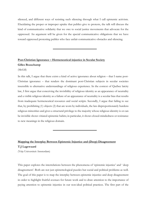silenced, and different ways of resisting such silencing through what I call epistemic activism. Elucidating the proper or improper uptake that publics give to protests, the talk will discuss the kind of communicative solidarity that we owe to social justice movements that advocate for the oppressed. An argument will be given for the special communicative obligations that we have toward oppressed protesting publics who face unfair communicative obstacles and silencing.

# **Post-Christian Ignorance – Hermeneutical injustice in Secular Society Gilles Beauchamp**

(McGill)

In this talk, I argue that there exists a kind of active ignorance about religion – that I name post-Christian ignorance – that renders the dominant post-Christian subjects in secular societies insensible to alternative understandings of religious experience. In the context of Québec laicity law, I first argue that conceiving the invisibility of religious identity as an appearance of neutrality and a visible religious identity as a failure of an appearance of neutrality is a secular bias that results from inadequate hermeneutical resources and social scripts. Secondly, I argue that failing to see that, by prohibiting (1) objects (2) that are worn by individuals, the law disproportionately burdens religious minorities and gives a structural privilege to the majority whose religious identity is or can be invisible shows vitiated epistemic habits; in particular, it shows closed-mindedness or resistance to new meanings in the religious domain.

# **Mapping the Interplay Between Epistemic Injustice and (Deep) Disagreement T.J Lagewaard**

(Vrije Universiteit Amsterdam)

This paper explores the interrelations between the phenomena of 'epistemic injustice' and ' deep disagreement'. Both are not just epistemological puzzles but social and political problems as well. The goal of this paper is to map the interplay between epistemic injustice and deep disagreement in order to highlight fruitful avenues for future work and to draw attention to the importance of paying attention to epistemic injustice in our non-ideal political practices. The first part of the